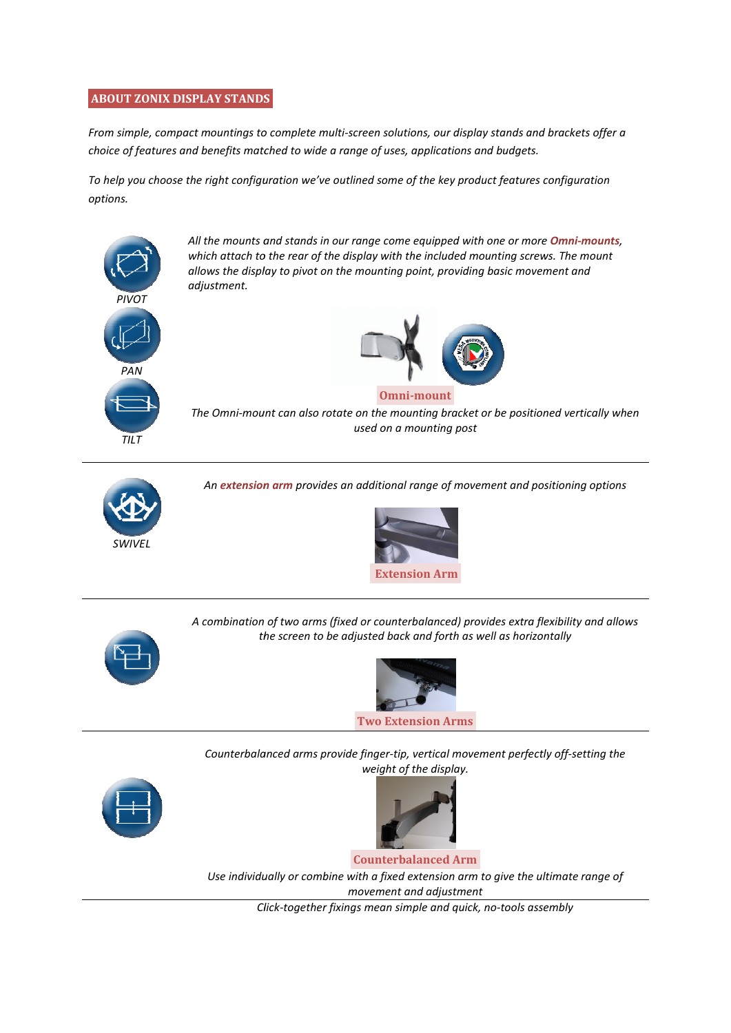## **ABOUT ZONIX DISPLAY STANDS STANDS**

From simple, compact mountings to complete multi-screen solutions, our display stands and brackets offer a *choice of features and benefits matched to wide a range of uses, applications and budgets. features benefits matched uses, From simple, compact mountings to complete multi-screen solutions, our display stands and brackets offe<br>choice of features and benefits matched to wide a range of uses, applications and budgets.<br>To help you choose the rig* 

*options.* 



*All the mounts and stands in our range the mounts our range come equipped with one or more Omni-mounts,*  which attach to the rear of the display with the included mounting screws. The mount *allows the display to pivot on the mounting point, providin display to the point, providing basic movement and adjustment.* 



## The Omni-mount can also rotate on the mounting bracket or be positioned vertically when **Omni-mount** *used on a mounting post g and iding basic movement and<br>
<br>
g and the positioned vertically when<br>
post<br>
movement and positioning options<br>
<br>
provides extra flexibility and allows<br>
provides extra flexibility and allows<br>
provides extra flexibility an*



*An extension arm extension provides an additional range of movement and positioning options*





A combination of two arms (fixed or counterbalanced) provides extra flexibility and allows *the screen to be adjusted back and forth as well as horizontally*



*Counterbalanced Counterbalanced arms provide finger-tip, vertical movement perfectly off tip, off-setting the weight of the display.* 





**Counterbalanced Arm**

Use individually or combine with a fixed extension arm to give the ultimate range of *movement* and adjustment

*Click Click-together fixings mean simple and quick, no-tools assembly tools*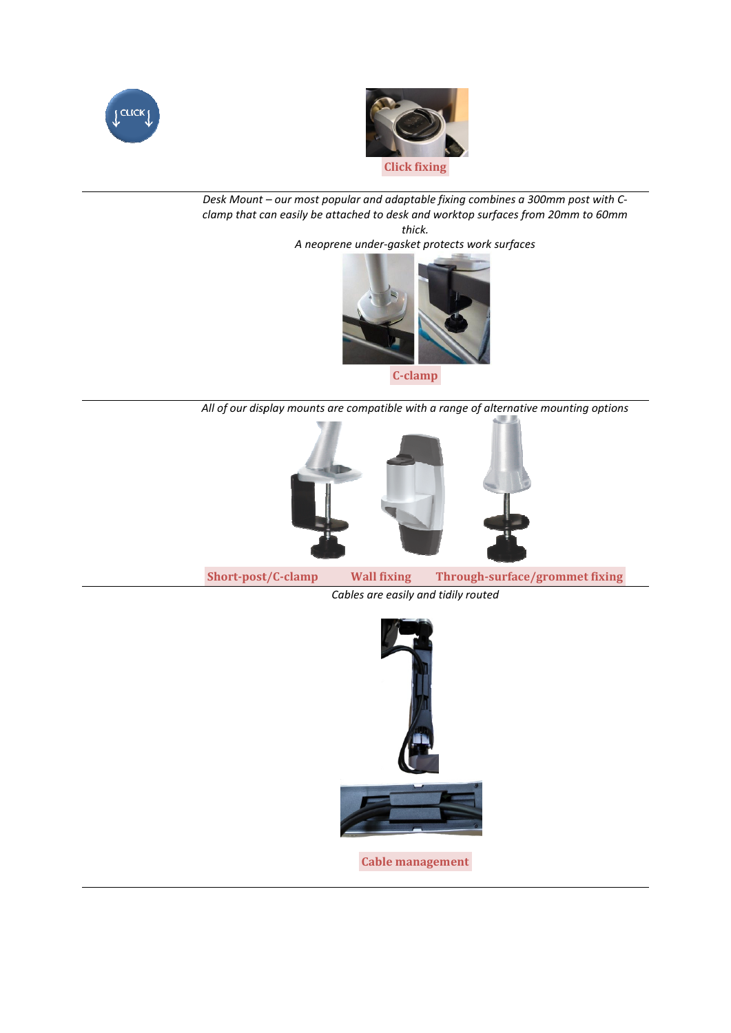



 *Desk Mount – our most popular and adaptable fixing combines a 300mm post with C Cclamp that can easily be attached to desk and worktop surfaces from 20mm to 60mm to desk 20mm 60mm thick.* 

*A neoprene under-gasket protects work surfaces gasket* 



**C-clamp** 

*All of our display mounts are compatible with a range of alternative mounting options mounting* 



**Short-post/C post/C-clamp Wall fixing Through-surface/grommet surface/grommet fixing***Cables are easily and tidily routed* 



**Cable management**